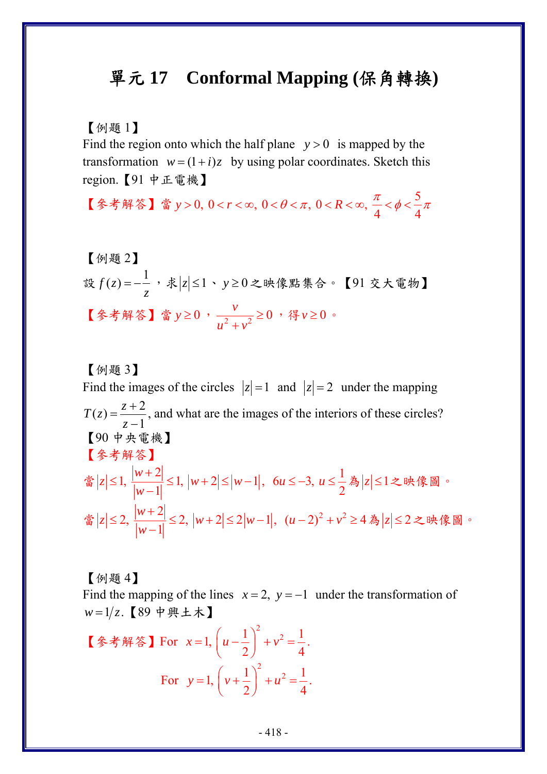## 單元 **17 Conformal Mapping (**保角轉換**)**

【例題 1】

Find the region onto which the half plane  $y > 0$  is mapped by the transformation  $w = (1 + i)z$  by using polar coordinates. Sketch this region.【91 中正電機】

【参考解答】當 y > 0, 0 < r < ∞, 0 <  $\theta$  <  $\pi$ , 0 < R < ∞,  $\frac{\pi}{4}$  <  $\phi$  <  $\frac{5}{4}$  $> 0, 0 < r < \infty, 0 < \theta < \pi, 0 < R < \infty, -\frac{\pi}{2} < \phi < -\pi$ 

\n[例ؤ2]\n 
$$
\text{設 } f(z) = -\frac{1}{z}, \, \text{$x|z| ≤1 \cdot y ≥ 0 < \text{0}. \, \text{$x|z| ≤0}, \, \text{$y ≥ 0}, \, \text{$y ≥ 0}, \, \text{$y ≥ 0}, \, \text{$y ≥ 0}, \, \text{$y ≥ 0}.
$$
\n

【例題 3】 Find the images of the circles  $|z|=1$  and  $|z|=2$  under the mapping  $T(z) = \frac{z+2}{z-1}$  $=\frac{z+2}{z-1}$ , and what are the images of the interiors of these circles? 【90 中央電機】 【參考解答】 當  $|z| \leq 1$ ,  $\frac{|w+2|}{|w+2|}$  $1, \frac{|W|^2}{|W-1|} \leq 1, |W+2| \leq |W-1|$ *w*  $|z| \leq 1$ ,  $\frac{|v|+|z|}{|z|} \leq 1$ ,  $|w+2| \leq |w|$ *w*  $\leq 1, \frac{|w+2|}{|w-1|} \leq 1, |w+2| \leq |w-1|, \quad 6u \leq -3, u \leq \frac{1}{2}$ *u* ≤ -3, *u* ≤ -<sup>1</sup>為 |z| ≤1之映像圖。 當  $|z| \leq 2$ ,  $\frac{|w+2|}{2}$ 2,  $\frac{|w+2|}{|w-1|} \leq 2$ ,  $|w+2| \leq 2|w-1|$ *w*  $|z| \leq 2$ ,  $\frac{|w+2|}{4} \leq 2$ ,  $|w+2| \leq 2|w|$ *w* ≤ 2,  $\frac{|w+2|}{|w-1|}$  ≤ 2,  $|w+2|$  ≤ 2 $|w-1|$ ,  $(u-2)^2 + v^2 \ge 4$  為  $|z|$  ≤ 2 之映像圖。

【例題 4】

Find the mapping of the lines  $x = 2$ ,  $y = -1$  under the transformation of  $w = 1/z$ . 【89 中興土木】

【參考解答】For <sup>2</sup> 1 1 <sup>2</sup> 1, 2 4 *xu v* ⎛ ⎞ = − += ⎜ ⎟ ⎝ ⎠ . For <sup>2</sup> 1 1 <sup>2</sup> 1, 2 4 *yv u* ⎛ ⎞ = + += ⎜ ⎟ ⎝ ⎠ .